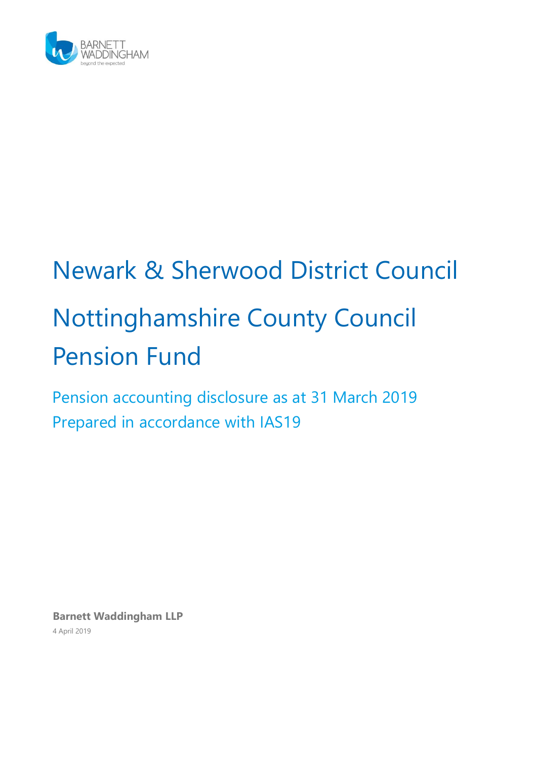

# Newark & Sherwood District Council Nottinghamshire County Council Pension Fund

Pension accounting disclosure as at 31 March 2019 Prepared in accordance with IAS19

**Barnett Waddingham LLP** 4 April 2019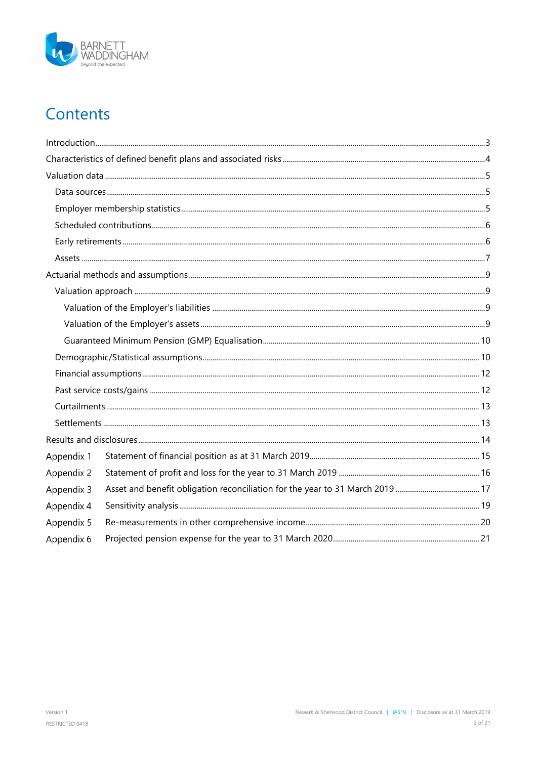

# Contents

| Appendix 1 |  |
|------------|--|
| Appendix 2 |  |
| Appendix 3 |  |
| Appendix 4 |  |
| Appendix 5 |  |
| Appendix 6 |  |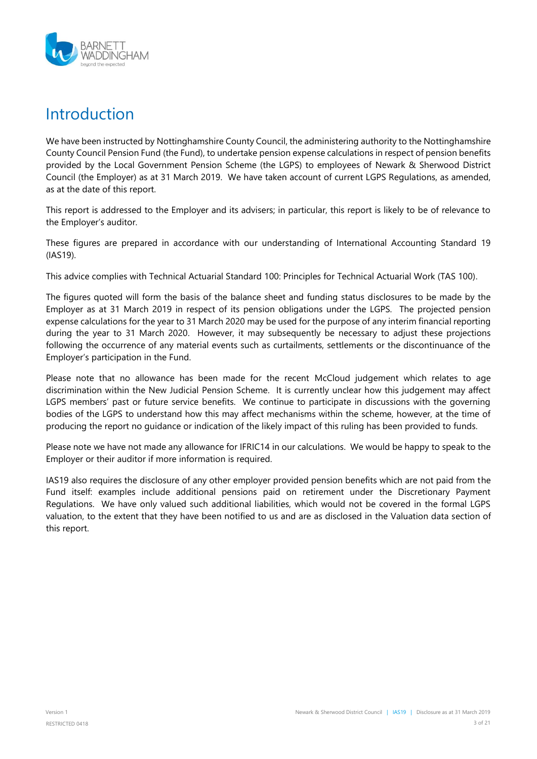

### <span id="page-2-0"></span>Introduction

We have been instructed by Nottinghamshire County Council, the administering authority to the Nottinghamshire County Council Pension Fund (the Fund), to undertake pension expense calculations in respect of pension benefits provided by the Local Government Pension Scheme (the LGPS) to employees of Newark & Sherwood District Council (the Employer) as at 31 March 2019. We have taken account of current LGPS Regulations, as amended, as at the date of this report.

This report is addressed to the Employer and its advisers; in particular, this report is likely to be of relevance to the Employer's auditor.

These figures are prepared in accordance with our understanding of International Accounting Standard 19 (IAS19).

This advice complies with Technical Actuarial Standard 100: Principles for Technical Actuarial Work (TAS 100).

The figures quoted will form the basis of the balance sheet and funding status disclosures to be made by the Employer as at 31 March 2019 in respect of its pension obligations under the LGPS. The projected pension expense calculations for the year to 31 March 2020 may be used for the purpose of any interim financial reporting during the year to 31 March 2020. However, it may subsequently be necessary to adjust these projections following the occurrence of any material events such as curtailments, settlements or the discontinuance of the Employer's participation in the Fund.

Please note that no allowance has been made for the recent McCloud judgement which relates to age discrimination within the New Judicial Pension Scheme. It is currently unclear how this judgement may affect LGPS members' past or future service benefits. We continue to participate in discussions with the governing bodies of the LGPS to understand how this may affect mechanisms within the scheme, however, at the time of producing the report no guidance or indication of the likely impact of this ruling has been provided to funds.

Please note we have not made any allowance for IFRIC14 in our calculations. We would be happy to speak to the Employer or their auditor if more information is required.

IAS19 also requires the disclosure of any other employer provided pension benefits which are not paid from the Fund itself: examples include additional pensions paid on retirement under the Discretionary Payment Regulations. We have only valued such additional liabilities, which would not be covered in the formal LGPS valuation, to the extent that they have been notified to us and are as disclosed in the Valuation data section of this report.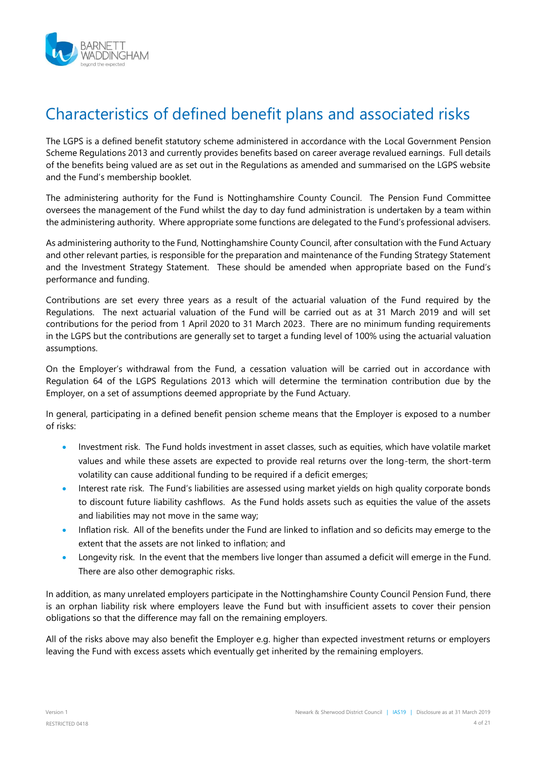

### <span id="page-3-0"></span>Characteristics of defined benefit plans and associated risks

The LGPS is a defined benefit statutory scheme administered in accordance with the Local Government Pension Scheme Regulations 2013 and currently provides benefits based on career average revalued earnings. Full details of the benefits being valued are as set out in the Regulations as amended and summarised on the LGPS website and the Fund's membership booklet.

The administering authority for the Fund is Nottinghamshire County Council. The Pension Fund Committee oversees the management of the Fund whilst the day to day fund administration is undertaken by a team within the administering authority. Where appropriate some functions are delegated to the Fund's professional advisers.

As administering authority to the Fund, Nottinghamshire County Council, after consultation with the Fund Actuary and other relevant parties, is responsible for the preparation and maintenance of the Funding Strategy Statement and the Investment Strategy Statement. These should be amended when appropriate based on the Fund's performance and funding.

Contributions are set every three years as a result of the actuarial valuation of the Fund required by the Regulations. The next actuarial valuation of the Fund will be carried out as at 31 March 2019 and will set contributions for the period from 1 April 2020 to 31 March 2023. There are no minimum funding requirements in the LGPS but the contributions are generally set to target a funding level of 100% using the actuarial valuation assumptions.

On the Employer's withdrawal from the Fund, a cessation valuation will be carried out in accordance with Regulation 64 of the LGPS Regulations 2013 which will determine the termination contribution due by the Employer, on a set of assumptions deemed appropriate by the Fund Actuary.

In general, participating in a defined benefit pension scheme means that the Employer is exposed to a number of risks:

- Investment risk. The Fund holds investment in asset classes, such as equities, which have volatile market values and while these assets are expected to provide real returns over the long-term, the short-term volatility can cause additional funding to be required if a deficit emerges;
- Interest rate risk. The Fund's liabilities are assessed using market yields on high quality corporate bonds to discount future liability cashflows. As the Fund holds assets such as equities the value of the assets and liabilities may not move in the same way;
- Inflation risk. All of the benefits under the Fund are linked to inflation and so deficits may emerge to the extent that the assets are not linked to inflation; and
- Longevity risk. In the event that the members live longer than assumed a deficit will emerge in the Fund. There are also other demographic risks.

In addition, as many unrelated employers participate in the Nottinghamshire County Council Pension Fund, there is an orphan liability risk where employers leave the Fund but with insufficient assets to cover their pension obligations so that the difference may fall on the remaining employers.

All of the risks above may also benefit the Employer e.g. higher than expected investment returns or employers leaving the Fund with excess assets which eventually get inherited by the remaining employers.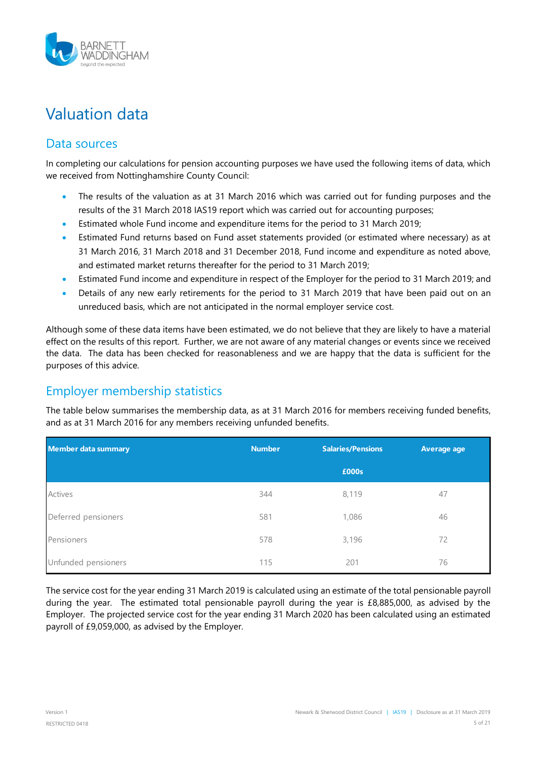

# <span id="page-4-0"></span>Valuation data

### <span id="page-4-1"></span>Data sources

In completing our calculations for pension accounting purposes we have used the following items of data, which we received from Nottinghamshire County Council:

- The results of the valuation as at 31 March 2016 which was carried out for funding purposes and the results of the 31 March 2018 IAS19 report which was carried out for accounting purposes;
- Estimated whole Fund income and expenditure items for the period to 31 March 2019;
- Estimated Fund returns based on Fund asset statements provided (or estimated where necessary) as at 31 March 2016, 31 March 2018 and 31 December 2018, Fund income and expenditure as noted above, and estimated market returns thereafter for the period to 31 March 2019;
- Estimated Fund income and expenditure in respect of the Employer for the period to 31 March 2019; and
- Details of any new early retirements for the period to 31 March 2019 that have been paid out on an unreduced basis, which are not anticipated in the normal employer service cost.

Although some of these data items have been estimated, we do not believe that they are likely to have a material effect on the results of this report. Further, we are not aware of any material changes or events since we received the data. The data has been checked for reasonableness and we are happy that the data is sufficient for the purposes of this advice.

### <span id="page-4-2"></span>Employer membership statistics

The table below summarises the membership data, as at 31 March 2016 for members receiving funded benefits, and as at 31 March 2016 for any members receiving unfunded benefits.

| <b>Member data summary</b> | <b>Number</b> | <b>Salaries/Pensions</b> | <b>Average age</b> |
|----------------------------|---------------|--------------------------|--------------------|
|                            |               | £000s                    |                    |
| Actives                    | 344           | 8,119                    | 47                 |
| Deferred pensioners        | 581           | 1,086                    | 46                 |
| Pensioners                 | 578           | 3,196                    | 72                 |
| Unfunded pensioners        | 115           | 201                      | 76                 |

The service cost for the year ending 31 March 2019 is calculated using an estimate of the total pensionable payroll during the year. The estimated total pensionable payroll during the year is £8,885,000, as advised by the Employer. The projected service cost for the year ending 31 March 2020 has been calculated using an estimated payroll of £9,059,000, as advised by the Employer.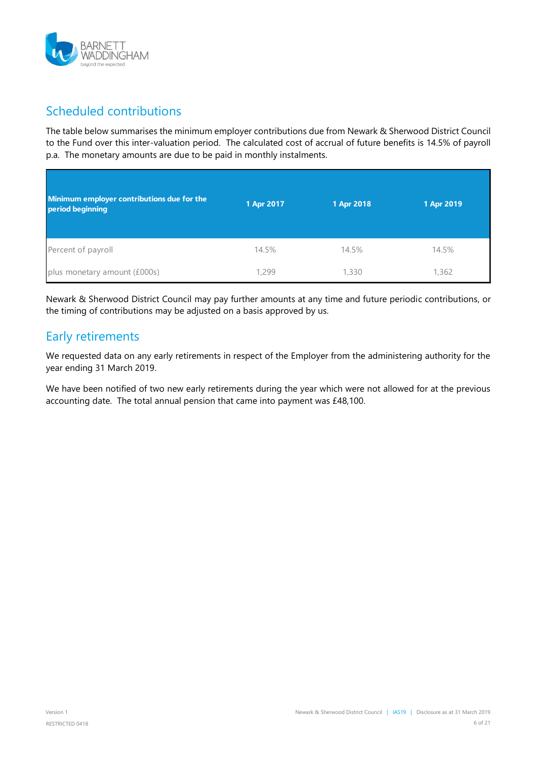

### <span id="page-5-0"></span>Scheduled contributions

The table below summarises the minimum employer contributions due from Newark & Sherwood District Council to the Fund over this inter-valuation period. The calculated cost of accrual of future benefits is 14.5% of payroll p.a. The monetary amounts are due to be paid in monthly instalments.

| Minimum employer contributions due for the<br>period beginning | 1 Apr 2017 | 1 Apr 2018 | 1 Apr 2019 |
|----------------------------------------------------------------|------------|------------|------------|
| Percent of payroll                                             | 14.5%      | 14.5%      | 14.5%      |
| plus monetary amount (£000s)                                   | 1,299      | 1,330      | 1,362      |

Newark & Sherwood District Council may pay further amounts at any time and future periodic contributions, or the timing of contributions may be adjusted on a basis approved by us.

### <span id="page-5-1"></span>Early retirements

We requested data on any early retirements in respect of the Employer from the administering authority for the year ending 31 March 2019.

We have been notified of two new early retirements during the year which were not allowed for at the previous accounting date. The total annual pension that came into payment was £48,100.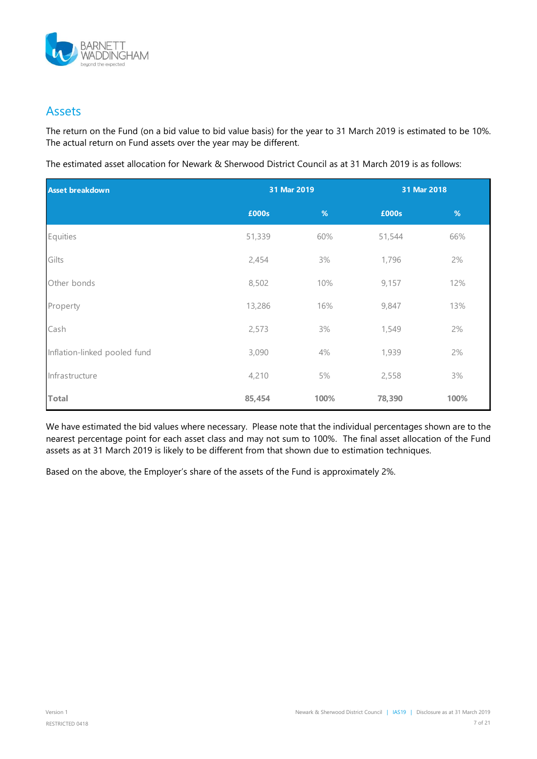

#### <span id="page-6-0"></span>Assets

The return on the Fund (on a bid value to bid value basis) for the year to 31 March 2019 is estimated to be 10%. The actual return on Fund assets over the year may be different.

The estimated asset allocation for Newark & Sherwood District Council as at 31 March 2019 is as follows:

| <b>Asset breakdown</b>       | 31 Mar 2019 |      | 31 Mar 2018 |      |
|------------------------------|-------------|------|-------------|------|
|                              | £000s       | %    | £000s       | %    |
| Equities                     | 51,339      | 60%  | 51,544      | 66%  |
| Gilts                        | 2,454       | 3%   | 1,796       | 2%   |
| Other bonds                  | 8,502       | 10%  | 9,157       | 12%  |
| Property                     | 13,286      | 16%  | 9,847       | 13%  |
| Cash                         | 2,573       | 3%   | 1,549       | 2%   |
| Inflation-linked pooled fund | 3,090       | 4%   | 1,939       | 2%   |
| Infrastructure               | 4,210       | 5%   | 2,558       | 3%   |
| <b>Total</b>                 | 85,454      | 100% | 78,390      | 100% |

We have estimated the bid values where necessary. Please note that the individual percentages shown are to the nearest percentage point for each asset class and may not sum to 100%. The final asset allocation of the Fund assets as at 31 March 2019 is likely to be different from that shown due to estimation techniques.

Based on the above, the Employer's share of the assets of the Fund is approximately 2%.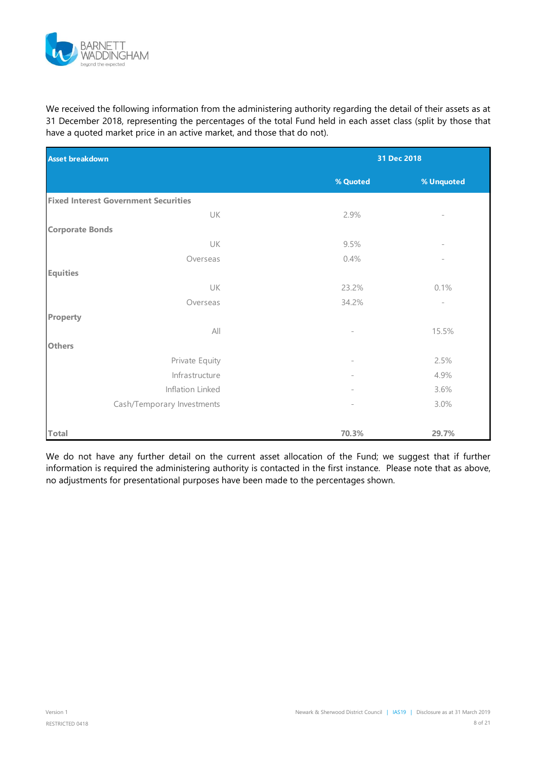

We received the following information from the administering authority regarding the detail of their assets as at 31 December 2018, representing the percentages of the total Fund held in each asset class (split by those that have a quoted market price in an active market, and those that do not).

| <b>Asset breakdown</b>                      | 31 Dec 2018              |                          |  |
|---------------------------------------------|--------------------------|--------------------------|--|
|                                             | % Quoted                 | % Unquoted               |  |
| <b>Fixed Interest Government Securities</b> |                          |                          |  |
| UK                                          | 2.9%                     |                          |  |
| <b>Corporate Bonds</b>                      |                          |                          |  |
| UK                                          | 9.5%                     |                          |  |
| Overseas                                    | 0.4%                     |                          |  |
| <b>Equities</b>                             |                          |                          |  |
| UK                                          | 23.2%                    | 0.1%                     |  |
| Overseas                                    | 34.2%                    | $\overline{\phantom{a}}$ |  |
| <b>Property</b>                             |                          |                          |  |
| All                                         |                          | 15.5%                    |  |
| <b>Others</b>                               |                          |                          |  |
| Private Equity                              | $\overline{\phantom{a}}$ | 2.5%                     |  |
| Infrastructure                              | $\overline{\phantom{a}}$ | 4.9%                     |  |
| Inflation Linked                            |                          | 3.6%                     |  |
| Cash/Temporary Investments                  | $\overline{a}$           | 3.0%                     |  |
|                                             |                          |                          |  |
| <b>Total</b>                                | 70.3%                    | 29.7%                    |  |

We do not have any further detail on the current asset allocation of the Fund; we suggest that if further information is required the administering authority is contacted in the first instance. Please note that as above, no adjustments for presentational purposes have been made to the percentages shown.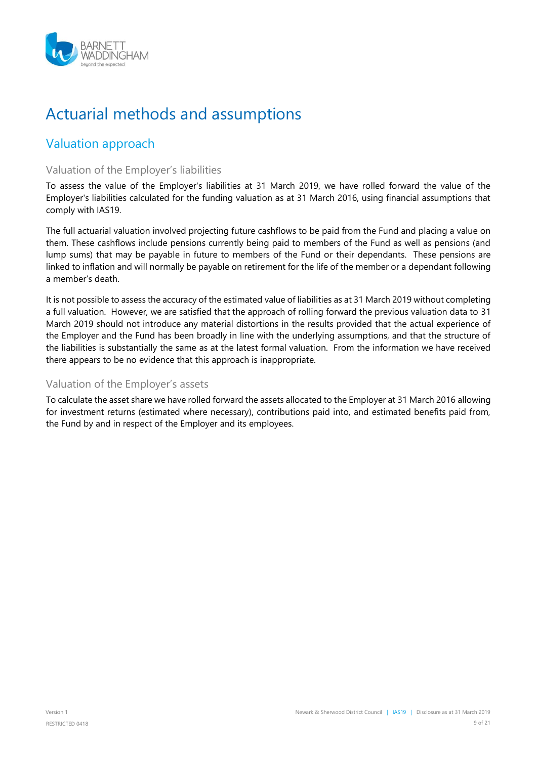

# <span id="page-8-0"></span>Actuarial methods and assumptions

### <span id="page-8-1"></span>Valuation approach

#### <span id="page-8-2"></span>Valuation of the Employer's liabilities

To assess the value of the Employer's liabilities at 31 March 2019, we have rolled forward the value of the Employer's liabilities calculated for the funding valuation as at 31 March 2016, using financial assumptions that comply with IAS19.

The full actuarial valuation involved projecting future cashflows to be paid from the Fund and placing a value on them. These cashflows include pensions currently being paid to members of the Fund as well as pensions (and lump sums) that may be payable in future to members of the Fund or their dependants. These pensions are linked to inflation and will normally be payable on retirement for the life of the member or a dependant following a member's death.

It is not possible to assess the accuracy of the estimated value of liabilities as at 31 March 2019 without completing a full valuation. However, we are satisfied that the approach of rolling forward the previous valuation data to 31 March 2019 should not introduce any material distortions in the results provided that the actual experience of the Employer and the Fund has been broadly in line with the underlying assumptions, and that the structure of the liabilities is substantially the same as at the latest formal valuation. From the information we have received there appears to be no evidence that this approach is inappropriate.

#### <span id="page-8-3"></span>Valuation of the Employer's assets

To calculate the asset share we have rolled forward the assets allocated to the Employer at 31 March 2016 allowing for investment returns (estimated where necessary), contributions paid into, and estimated benefits paid from, the Fund by and in respect of the Employer and its employees.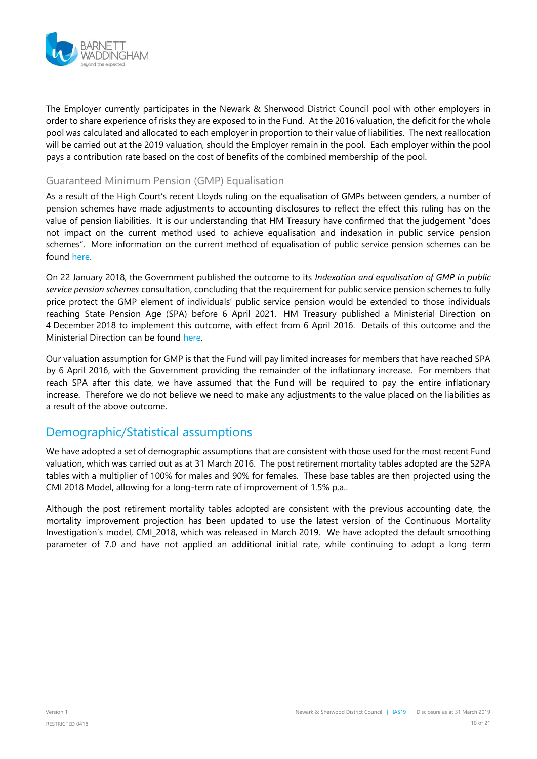

The Employer currently participates in the Newark & Sherwood District Council pool with other employers in order to share experience of risks they are exposed to in the Fund. At the 2016 valuation, the deficit for the whole pool was calculated and allocated to each employer in proportion to their value of liabilities. The next reallocation will be carried out at the 2019 valuation, should the Employer remain in the pool. Each employer within the pool pays a contribution rate based on the cost of benefits of the combined membership of the pool.

#### <span id="page-9-0"></span>Guaranteed Minimum Pension (GMP) Equalisation

As a result of the High Court's recent Lloyds ruling on the equalisation of GMPs between genders, a number of pension schemes have made adjustments to accounting disclosures to reflect the effect this ruling has on the value of pension liabilities. It is our understanding that HM Treasury have confirmed that the judgement "does not impact on the current method used to achieve equalisation and indexation in public service pension schemes". More information on the current method of equalisation of public service pension schemes can be found [here.](https://www.gov.uk/government/consultations/indexation-and-equalisation-of-gmp-in-public-service-pension-schemes/consultation-on-indexation-and-equalisation-of-gmp-in-public-service-pension-schemes)

On 22 January 2018, the Government published the outcome to its *Indexation and equalisation of GMP in public service pension schemes* consultation, concluding that the requirement for public service pension schemes to fully price protect the GMP element of individuals' public service pension would be extended to those individuals reaching State Pension Age (SPA) before 6 April 2021. HM Treasury published a Ministerial Direction on 4 December 2018 to implement this outcome, with effect from 6 April 2016. Details of this outcome and the Ministerial Direction can be found [here.](https://www.gov.uk/government/publications/indexation-of-public-service-pensions)

Our valuation assumption for GMP is that the Fund will pay limited increases for members that have reached SPA by 6 April 2016, with the Government providing the remainder of the inflationary increase. For members that reach SPA after this date, we have assumed that the Fund will be required to pay the entire inflationary increase. Therefore we do not believe we need to make any adjustments to the value placed on the liabilities as a result of the above outcome.

#### <span id="page-9-1"></span>Demographic/Statistical assumptions

We have adopted a set of demographic assumptions that are consistent with those used for the most recent Fund valuation, which was carried out as at 31 March 2016. The post retirement mortality tables adopted are the S2PA tables with a multiplier of 100% for males and 90% for females. These base tables are then projected using the CMI 2018 Model, allowing for a long-term rate of improvement of 1.5% p.a..

Although the post retirement mortality tables adopted are consistent with the previous accounting date, the mortality improvement projection has been updated to use the latest version of the Continuous Mortality Investigation's model, CMI\_2018, which was released in March 2019. We have adopted the default smoothing parameter of 7.0 and have not applied an additional initial rate, while continuing to adopt a long term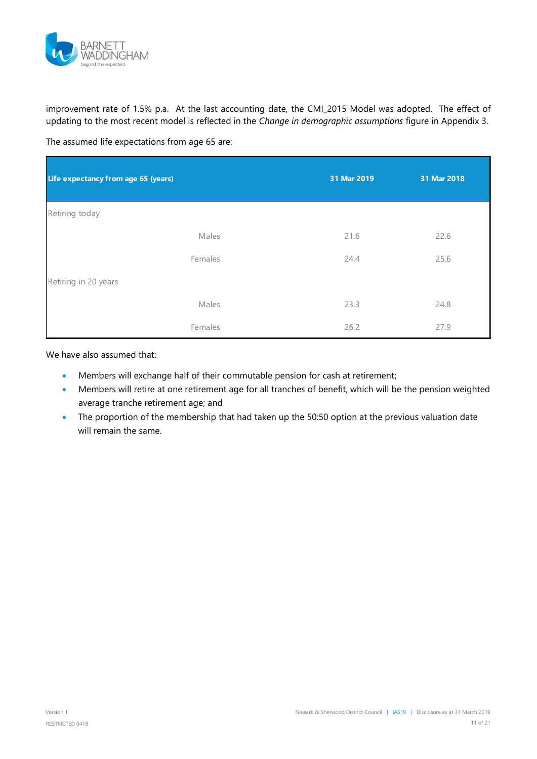

improvement rate of 1.5% p.a. At the last accounting date, the CMI\_2015 Model was adopted. The effect of updating to the most recent model is reflected in the *Change in demographic assumptions* figure in [Appendix 3.](#page-16-0)

The assumed life expectations from age 65 are:

| Life expectancy from age 65 (years) | 31 Mar 2019 | 31 Mar 2018 |
|-------------------------------------|-------------|-------------|
| Retiring today                      |             |             |
| Males                               | 21.6        | 22.6        |
| Females                             | 24.4        | 25.6        |
| Retiring in 20 years                |             |             |
| Males                               | 23.3        | 24.8        |
| Females                             | 26.2        | 27.9        |

We have also assumed that:

- Members will exchange half of their commutable pension for cash at retirement;
- Members will retire at one retirement age for all tranches of benefit, which will be the pension weighted average tranche retirement age; and
- The proportion of the membership that had taken up the 50:50 option at the previous valuation date will remain the same.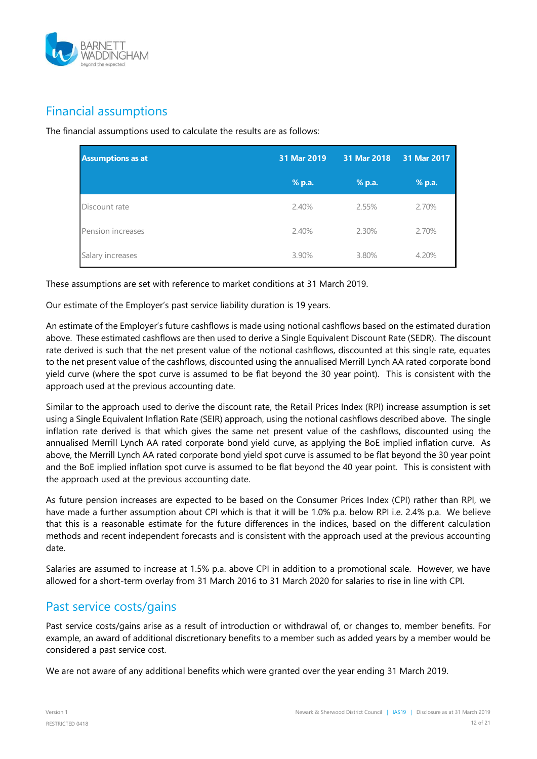

### <span id="page-11-0"></span>Financial assumptions

The financial assumptions used to calculate the results are as follows:

| <b>Assumptions as at</b> | 31 Mar 2019 | 31 Mar 2018 | 31 Mar 2017 |
|--------------------------|-------------|-------------|-------------|
|                          | % p.a.      | % p.a.      | % p.a.      |
| Discount rate            | 2.40%       | 2.55%       | 2.70%       |
| Pension increases        | 2.40%       | 2.30%       | 2.70%       |
| Salary increases         | 3.90%       | 3.80%       | 4.20%       |

These assumptions are set with reference to market conditions at 31 March 2019.

Our estimate of the Employer's past service liability duration is 19 years.

An estimate of the Employer's future cashflows is made using notional cashflows based on the estimated duration above. These estimated cashflows are then used to derive a Single Equivalent Discount Rate (SEDR). The discount rate derived is such that the net present value of the notional cashflows, discounted at this single rate, equates to the net present value of the cashflows, discounted using the annualised Merrill Lynch AA rated corporate bond yield curve (where the spot curve is assumed to be flat beyond the 30 year point). This is consistent with the approach used at the previous accounting date.

Similar to the approach used to derive the discount rate, the Retail Prices Index (RPI) increase assumption is set using a Single Equivalent Inflation Rate (SEIR) approach, using the notional cashflows described above. The single inflation rate derived is that which gives the same net present value of the cashflows, discounted using the annualised Merrill Lynch AA rated corporate bond yield curve, as applying the BoE implied inflation curve. As above, the Merrill Lynch AA rated corporate bond yield spot curve is assumed to be flat beyond the 30 year point and the BoE implied inflation spot curve is assumed to be flat beyond the 40 year point. This is consistent with the approach used at the previous accounting date.

As future pension increases are expected to be based on the Consumer Prices Index (CPI) rather than RPI, we have made a further assumption about CPI which is that it will be 1.0% p.a. below RPI i.e. 2.4% p.a. We believe that this is a reasonable estimate for the future differences in the indices, based on the different calculation methods and recent independent forecasts and is consistent with the approach used at the previous accounting date.

Salaries are assumed to increase at 1.5% p.a. above CPI in addition to a promotional scale. However, we have allowed for a short-term overlay from 31 March 2016 to 31 March 2020 for salaries to rise in line with CPI.

#### <span id="page-11-1"></span>Past service costs/gains

Past service costs/gains arise as a result of introduction or withdrawal of, or changes to, member benefits. For example, an award of additional discretionary benefits to a member such as added years by a member would be considered a past service cost.

We are not aware of any additional benefits which were granted over the year ending 31 March 2019.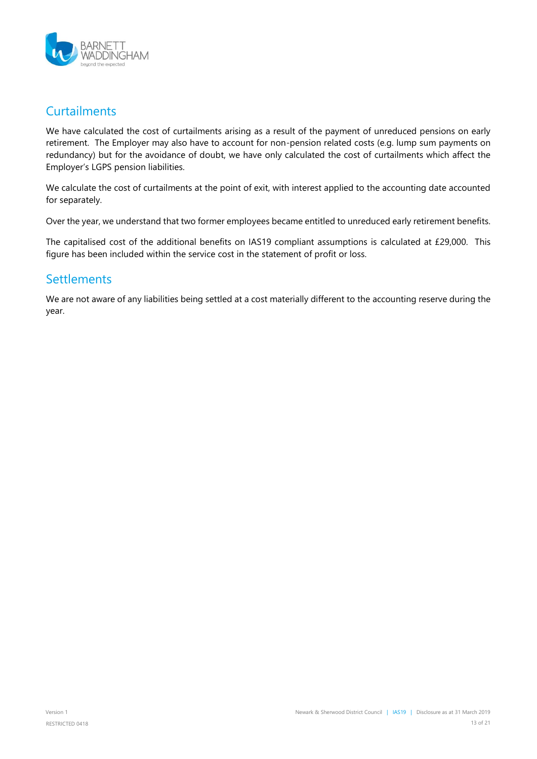

### <span id="page-12-0"></span>**Curtailments**

We have calculated the cost of curtailments arising as a result of the payment of unreduced pensions on early retirement. The Employer may also have to account for non-pension related costs (e.g. lump sum payments on redundancy) but for the avoidance of doubt, we have only calculated the cost of curtailments which affect the Employer's LGPS pension liabilities.

We calculate the cost of curtailments at the point of exit, with interest applied to the accounting date accounted for separately.

Over the year, we understand that two former employees became entitled to unreduced early retirement benefits.

The capitalised cost of the additional benefits on IAS19 compliant assumptions is calculated at £29,000. This figure has been included within the service cost in the statement of profit or loss.

#### <span id="page-12-1"></span>**Settlements**

We are not aware of any liabilities being settled at a cost materially different to the accounting reserve during the year.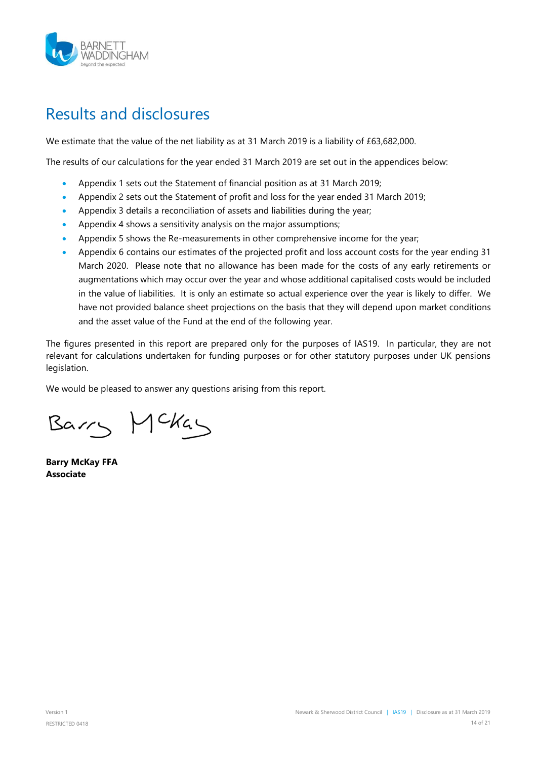

### <span id="page-13-0"></span>Results and disclosures

We estimate that the value of the net liability as at 31 March 2019 is a liability of £63,682,000.

The results of our calculations for the year ended 31 March 2019 are set out in the appendices below:

- Appendix 1 sets out the Statement of financial position as at 31 March 2019;
- Appendix 2 sets out the Statement of profit and loss for the year ended 31 March 2019;
- Appendix 3 details a reconciliation of assets and liabilities during the year;
- Appendix 4 shows a sensitivity analysis on the major assumptions;
- Appendix 5 shows the Re-measurements in other comprehensive income for the year;
- Appendix 6 contains our estimates of the projected profit and loss account costs for the year ending 31 March 2020. Please note that no allowance has been made for the costs of any early retirements or augmentations which may occur over the year and whose additional capitalised costs would be included in the value of liabilities. It is only an estimate so actual experience over the year is likely to differ. We have not provided balance sheet projections on the basis that they will depend upon market conditions and the asset value of the Fund at the end of the following year.

The figures presented in this report are prepared only for the purposes of IAS19. In particular, they are not relevant for calculations undertaken for funding purposes or for other statutory purposes under UK pensions legislation.

We would be pleased to answer any questions arising from this report.

Barry Mckay

**Barry McKay FFA Associate**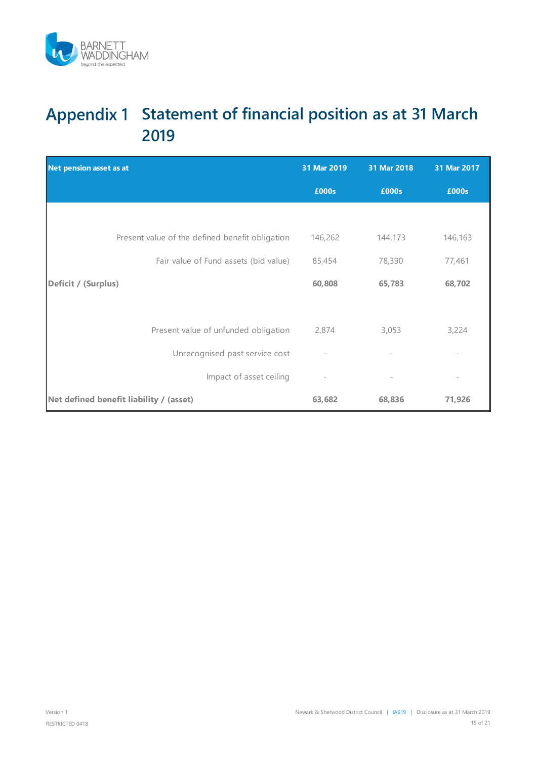

### <span id="page-14-0"></span>Appendix 1 Statement of financial position as at 31 March **2019**

| Net pension asset as at                         | 31 Mar 2019              | 31 Mar 2018              | 31 Mar 2017              |
|-------------------------------------------------|--------------------------|--------------------------|--------------------------|
|                                                 | £000s                    | £000s                    | £000s                    |
|                                                 |                          |                          |                          |
| Present value of the defined benefit obligation | 146,262                  | 144,173                  | 146,163                  |
| Fair value of Fund assets (bid value)           | 85,454                   | 78,390                   | 77,461                   |
| Deficit / (Surplus)                             | 60,808                   | 65,783                   | 68,702                   |
|                                                 |                          |                          |                          |
| Present value of unfunded obligation            | 2,874                    | 3,053                    | 3,224                    |
| Unrecognised past service cost                  | $\bar{ }$                | $\overline{\phantom{a}}$ |                          |
| Impact of asset ceiling                         | $\overline{\phantom{a}}$ | $\overline{\phantom{a}}$ | $\overline{\phantom{a}}$ |
| Net defined benefit liability / (asset)         | 63,682                   | 68,836                   | 71,926                   |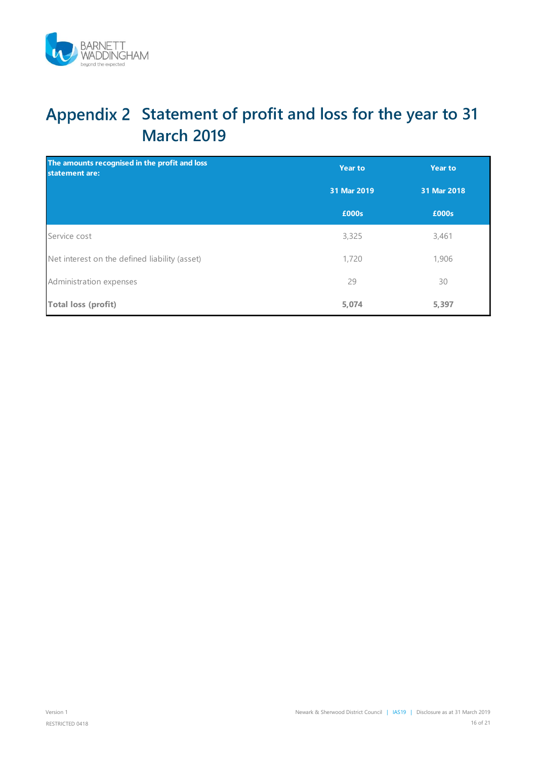

# <span id="page-15-0"></span>**Statement of profit and loss for the year to 31 March 2019**

| The amounts recognised in the profit and loss<br>statement are: | <b>Year to</b><br><b>Year to</b> |             |
|-----------------------------------------------------------------|----------------------------------|-------------|
|                                                                 | 31 Mar 2019                      | 31 Mar 2018 |
|                                                                 | £000s                            | £000s       |
| Service cost                                                    | 3,325                            | 3,461       |
| Net interest on the defined liability (asset)                   | 1,720                            | 1,906       |
| Administration expenses                                         | 29                               | 30          |
| <b>Total loss (profit)</b>                                      | 5,074                            | 5,397       |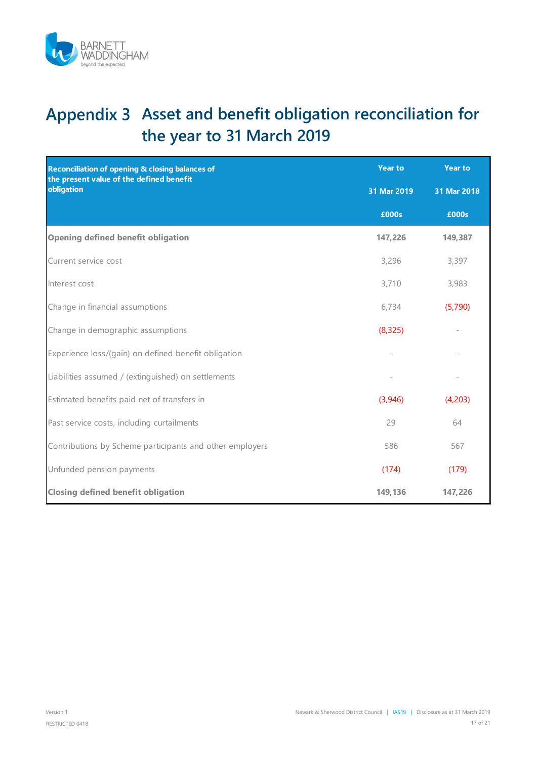

# <span id="page-16-0"></span>Appendix 3 Asset and benefit obligation reconciliation for **the year to 31 March 2019**

| Reconciliation of opening & closing balances of<br>the present value of the defined benefit | <b>Year to</b> | <b>Year to</b> |
|---------------------------------------------------------------------------------------------|----------------|----------------|
| obligation                                                                                  | 31 Mar 2019    | 31 Mar 2018    |
|                                                                                             | £000s          | £000s          |
| <b>Opening defined benefit obligation</b>                                                   | 147,226        | 149,387        |
| Current service cost                                                                        | 3,296          | 3,397          |
| Interest cost                                                                               | 3,710          | 3,983          |
| Change in financial assumptions                                                             | 6,734          | (5,790)        |
| Change in demographic assumptions                                                           | (8, 325)       |                |
| Experience loss/(gain) on defined benefit obligation                                        |                |                |
| Liabilities assumed / (extinguished) on settlements                                         |                |                |
| Estimated benefits paid net of transfers in                                                 | (3,946)        | (4,203)        |
| Past service costs, including curtailments                                                  | 29             | 64             |
| Contributions by Scheme participants and other employers                                    | 586            | 567            |
| Unfunded pension payments                                                                   | (174)          | (179)          |
| <b>Closing defined benefit obligation</b>                                                   | 149,136        | 147,226        |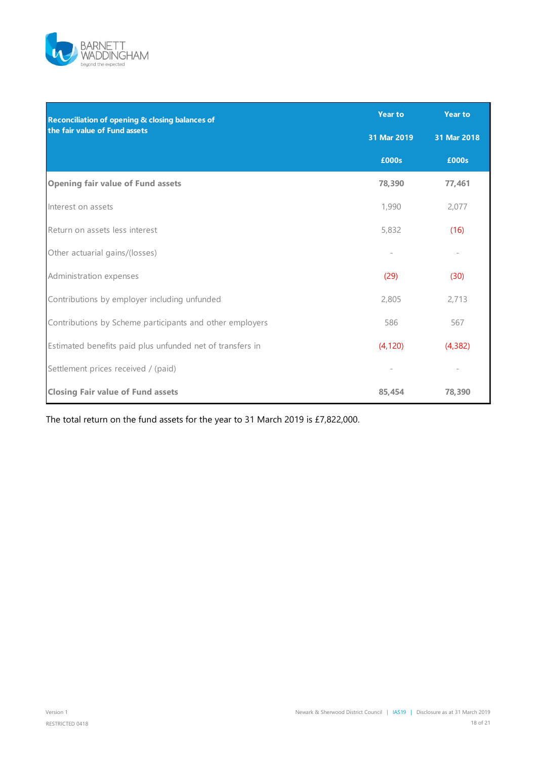

| Reconciliation of opening & closing balances of           | <b>Year to</b> | <b>Year to</b> |
|-----------------------------------------------------------|----------------|----------------|
| the fair value of Fund assets                             | 31 Mar 2019    | 31 Mar 2018    |
|                                                           | £000s          | £000s          |
| <b>Opening fair value of Fund assets</b>                  | 78,390         | 77,461         |
| Interest on assets                                        | 1,990          | 2,077          |
| Return on assets less interest                            | 5,832          | (16)           |
| Other actuarial gains/(losses)                            |                |                |
| Administration expenses                                   | (29)           | (30)           |
| Contributions by employer including unfunded              | 2,805          | 2,713          |
| Contributions by Scheme participants and other employers  | 586            | 567            |
| Estimated benefits paid plus unfunded net of transfers in | (4, 120)       | (4, 382)       |
| Settlement prices received / (paid)                       |                |                |
| <b>Closing Fair value of Fund assets</b>                  | 85.454         | 78,390         |

The total return on the fund assets for the year to 31 March 2019 is £7,822,000.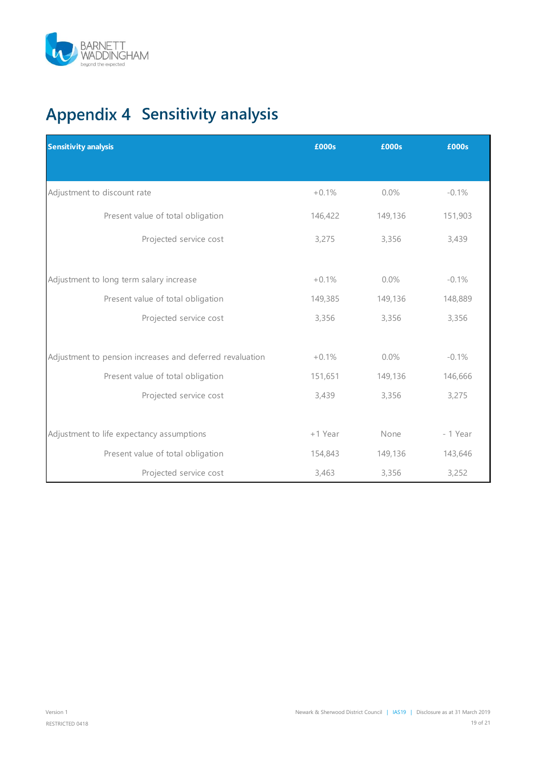

# <span id="page-18-0"></span>**Appendix 4 Sensitivity analysis**

| <b>Sensitivity analysis</b>                              | £000s   | £000s   | £000s    |
|----------------------------------------------------------|---------|---------|----------|
|                                                          |         |         |          |
| Adjustment to discount rate                              | $+0.1%$ | 0.0%    | $-0.1%$  |
| Present value of total obligation                        | 146,422 | 149,136 | 151,903  |
| Projected service cost                                   | 3,275   | 3,356   | 3,439    |
| Adjustment to long term salary increase                  | $+0.1%$ | 0.0%    | $-0.1%$  |
| Present value of total obligation                        | 149,385 | 149,136 | 148,889  |
| Projected service cost                                   | 3,356   | 3,356   | 3,356    |
| Adjustment to pension increases and deferred revaluation | $+0.1%$ | $0.0\%$ | $-0.1%$  |
| Present value of total obligation                        | 151,651 | 149,136 | 146,666  |
| Projected service cost                                   | 3,439   | 3,356   | 3,275    |
| Adjustment to life expectancy assumptions                | +1 Year | None    | - 1 Year |
| Present value of total obligation                        | 154,843 | 149,136 | 143,646  |
| Projected service cost                                   | 3,463   | 3,356   | 3,252    |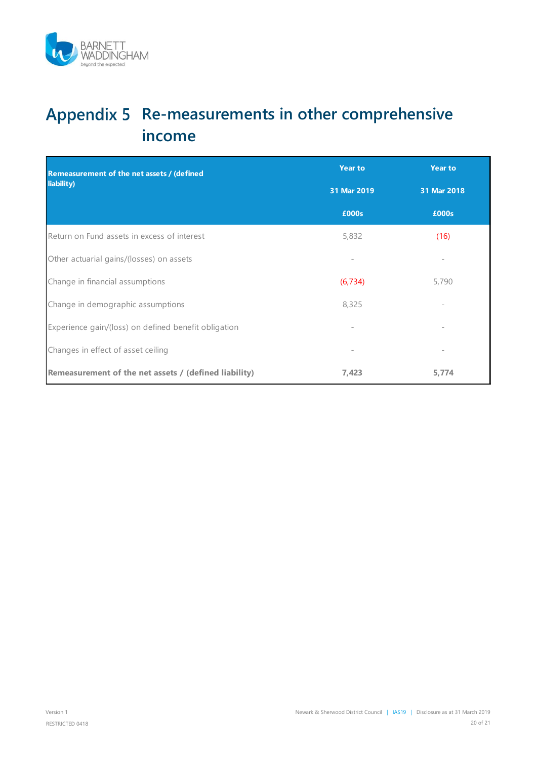

# <span id="page-19-0"></span>Appendix 5 Re-measurements in other comprehensive **income**

| <b>Remeasurement of the net assets / (defined</b><br>liability) | <b>Year to</b> | <b>Year to</b> |
|-----------------------------------------------------------------|----------------|----------------|
|                                                                 | 31 Mar 2019    | 31 Mar 2018    |
|                                                                 | £000s          | £000s          |
| Return on Fund assets in excess of interest                     | 5,832          | (16)           |
| Other actuarial gains/(losses) on assets                        |                |                |
| Change in financial assumptions                                 | (6, 734)       | 5,790          |
| Change in demographic assumptions                               | 8,325          |                |
| Experience gain/(loss) on defined benefit obligation            |                |                |
| Changes in effect of asset ceiling                              |                |                |
| Remeasurement of the net assets / (defined liability)           | 7,423          | 5,774          |